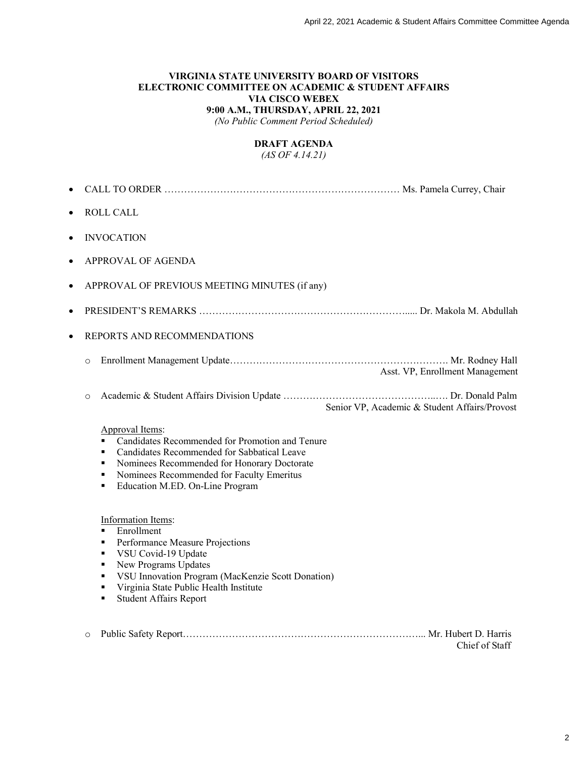## **VIRGINIA STATE UNIVERSITY BOARD OF VISITORS ELECTRONIC COMMITTEE ON ACADEMIC & STUDENT AFFAIRS VIA CISCO WEBEX 9:00 A.M., THURSDAY, APRIL 22, 2021**

*(No Public Comment Period Scheduled)*

## **DRAFT AGENDA**

*(AS OF 4.14.21)*

| $\bullet$ |                                                                                                                                                                                                                                                                                                    |
|-----------|----------------------------------------------------------------------------------------------------------------------------------------------------------------------------------------------------------------------------------------------------------------------------------------------------|
| $\bullet$ | <b>ROLL CALL</b>                                                                                                                                                                                                                                                                                   |
| $\bullet$ | <b>INVOCATION</b>                                                                                                                                                                                                                                                                                  |
| $\bullet$ | <b>APPROVAL OF AGENDA</b>                                                                                                                                                                                                                                                                          |
| $\bullet$ | APPROVAL OF PREVIOUS MEETING MINUTES (if any)                                                                                                                                                                                                                                                      |
| $\bullet$ |                                                                                                                                                                                                                                                                                                    |
| $\bullet$ | REPORTS AND RECOMMENDATIONS                                                                                                                                                                                                                                                                        |
|           | $\circ$<br>Asst. VP, Enrollment Management                                                                                                                                                                                                                                                         |
|           | $\circ$<br>Senior VP, Academic & Student Affairs/Provost                                                                                                                                                                                                                                           |
|           | Approval Items:<br>Candidates Recommended for Promotion and Tenure<br>Candidates Recommended for Sabbatical Leave<br>٠<br>Nominees Recommended for Honorary Doctorate<br>٠<br>Nominees Recommended for Faculty Emeritus<br>٠<br>Education M.ED. On-Line Program<br>п                               |
|           | Information Items:<br>Enrollment<br>$\blacksquare$<br>Performance Measure Projections<br>٠<br>VSU Covid-19 Update<br>п<br>New Programs Updates<br>п<br>VSU Innovation Program (MacKenzie Scott Donation)<br>٠<br>Virginia State Public Health Institute<br>٠<br><b>Student Affairs Report</b><br>п |
|           | $\circ$<br>Chief of Staff                                                                                                                                                                                                                                                                          |